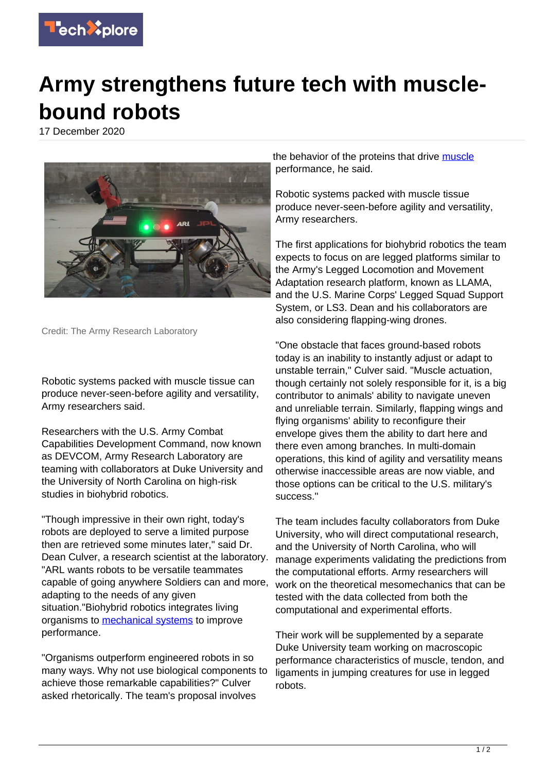

## **Army strengthens future tech with musclebound robots**

17 December 2020



Credit: The Army Research Laboratory

Robotic systems packed with muscle tissue can produce never-seen-before agility and versatility, Army researchers said.

Researchers with the U.S. Army Combat Capabilities Development Command, now known as DEVCOM, Army Research Laboratory are teaming with collaborators at Duke University and the University of North Carolina on high-risk studies in biohybrid robotics.

"Though impressive in their own right, today's robots are deployed to serve a limited purpose then are retrieved some minutes later," said Dr. Dean Culver, a research scientist at the laboratory. "ARL wants robots to be versatile teammates capable of going anywhere Soldiers can and more, adapting to the needs of any given situation."Biohybrid robotics integrates living organisms to [mechanical systems](https://techxplore.com/tags/mechanical+systems/) to improve performance.

"Organisms outperform engineered robots in so many ways. Why not use biological components to achieve those remarkable capabilities?" Culver asked rhetorically. The team's proposal involves

the behavior of the proteins that drive [muscle](https://techxplore.com/tags/muscle/) performance, he said.

Robotic systems packed with muscle tissue produce never-seen-before agility and versatility, Army researchers.

The first applications for biohybrid robotics the team expects to focus on are legged platforms similar to the Army's Legged Locomotion and Movement Adaptation research platform, known as LLAMA, and the U.S. Marine Corps' Legged Squad Support System, or LS3. Dean and his collaborators are also considering flapping-wing drones.

"One obstacle that faces ground-based robots today is an inability to instantly adjust or adapt to unstable terrain," Culver said. "Muscle actuation, though certainly not solely responsible for it, is a big contributor to animals' ability to navigate uneven and unreliable terrain. Similarly, flapping wings and flying organisms' ability to reconfigure their envelope gives them the ability to dart here and there even among branches. In multi-domain operations, this kind of agility and versatility means otherwise inaccessible areas are now viable, and those options can be critical to the U.S. military's success."

The team includes faculty collaborators from Duke University, who will direct computational research, and the University of North Carolina, who will manage experiments validating the predictions from the computational efforts. Army researchers will work on the theoretical mesomechanics that can be tested with the data collected from both the computational and experimental efforts.

Their work will be supplemented by a separate Duke University team working on macroscopic performance characteristics of muscle, tendon, and ligaments in jumping creatures for use in legged robots.